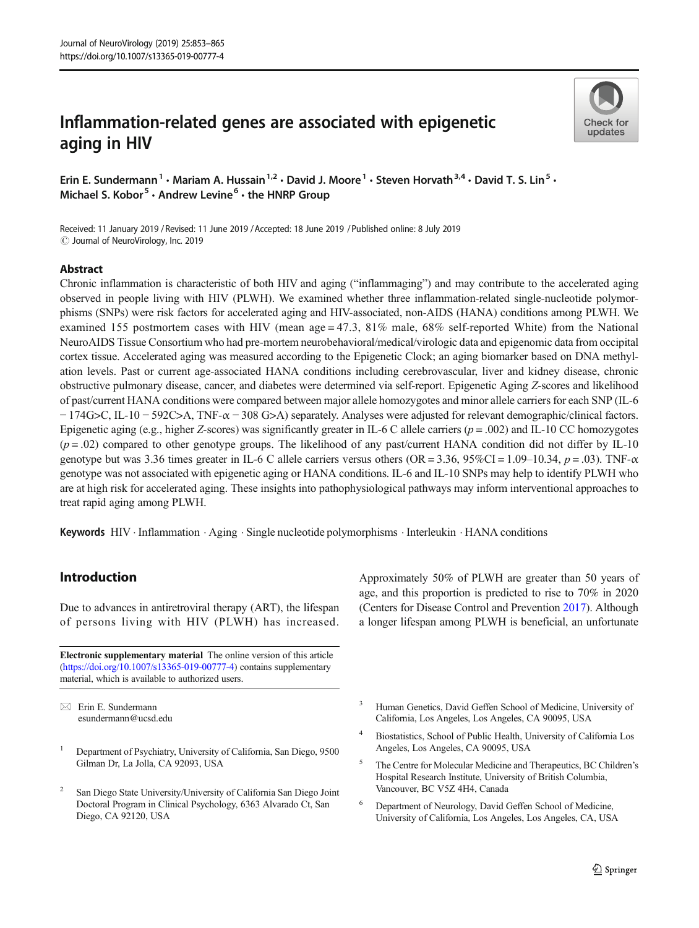# Inflammation-related genes are associated with epigenetic aging in HIV



Erin E. Sundermann<sup>1</sup> • Mariam A. Hussain<sup>1,2</sup> • David J. Moore<sup>1</sup> • Steven Horvath<sup>3,4</sup> • David T. S. Lin<sup>5</sup> • Michael S. Kobor<sup>5</sup>  $\cdot$  Andrew Levine<sup>6</sup>  $\cdot$  the HNRP Group

Received: 11 January 2019 / Revised: 11 June 2019 /Accepted: 18 June 2019 /Published online: 8 July 2019 $\odot$  Journal of NeuroVirology, Inc. 2019

## Abstract

Chronic inflammation is characteristic of both HIV and aging ("inflammaging") and may contribute to the accelerated aging observed in people living with HIV (PLWH). We examined whether three inflammation-related single-nucleotide polymorphisms (SNPs) were risk factors for accelerated aging and HIV-associated, non-AIDS (HANA) conditions among PLWH. We examined 155 postmortem cases with HIV (mean age = 47.3, 81% male,  $68\%$  self-reported White) from the National NeuroAIDS Tissue Consortium who had pre-mortem neurobehavioral/medical/virologic data and epigenomic data from occipital cortex tissue. Accelerated aging was measured according to the Epigenetic Clock; an aging biomarker based on DNA methylation levels. Past or current age-associated HANA conditions including cerebrovascular, liver and kidney disease, chronic obstructive pulmonary disease, cancer, and diabetes were determined via self-report. Epigenetic Aging Z-scores and likelihood of past/current HANA conditions were compared between major allele homozygotes and minor allele carriers for each SNP (IL-6 − 174G>C, IL-10 − 592C>A, TNF-α − 308 G>A) separately. Analyses were adjusted for relevant demographic/clinical factors. Epigenetic aging (e.g., higher Z-scores) was significantly greater in IL-6 C allele carriers ( $p = .002$ ) and IL-10 CC homozygotes  $(p = .02)$  compared to other genotype groups. The likelihood of any past/current HANA condition did not differ by IL-10 genotype but was 3.36 times greater in IL-6 C allele carriers versus others (OR = 3.36, 95%CI = 1.09–10.34,  $p = .03$ ). TNF- $\alpha$ genotype was not associated with epigenetic aging or HANA conditions. IL-6 and IL-10 SNPs may help to identify PLWH who are at high risk for accelerated aging. These insights into pathophysiological pathways may inform interventional approaches to treat rapid aging among PLWH.

Keywords HIV . Inflammation . Aging . Single nucleotide polymorphisms . Interleukin . HANA conditions

## Introduction

Due to advances in antiretroviral therapy (ART), the lifespan of persons living with HIV (PLWH) has increased.

Electronic supplementary material The online version of this article ([https://doi.org/10.1007/s13365-019-00777-4\)](https://doi.org/10.1007/s13365-019-00777-4) contains supplementary material, which is available to authorized users.

 $\boxtimes$  Erin E. Sundermann [esundermann@ucsd.edu](mailto:esundermann@ucsd.edu)

- <sup>1</sup> Department of Psychiatry, University of California, San Diego, 9500 Gilman Dr, La Jolla, CA 92093, USA
- <sup>2</sup> San Diego State University/University of California San Diego Joint Doctoral Program in Clinical Psychology, 6363 Alvarado Ct, San Diego, CA 92120, USA

Approximately 50% of PLWH are greater than 50 years of age, and this proportion is predicted to rise to 70% in 2020 (Centers for Disease Control and Prevention [2017](#page-9-0)). Although a longer lifespan among PLWH is beneficial, an unfortunate

- <sup>3</sup> Human Genetics, David Geffen School of Medicine, University of California, Los Angeles, Los Angeles, CA 90095, USA
- <sup>4</sup> Biostatistics, School of Public Health, University of California Los Angeles, Los Angeles, CA 90095, USA
- <sup>5</sup> The Centre for Molecular Medicine and Therapeutics, BC Children's Hospital Research Institute, University of British Columbia, Vancouver, BC V5Z 4H4, Canada
- <sup>6</sup> Department of Neurology, David Geffen School of Medicine, University of California, Los Angeles, Los Angeles, CA, USA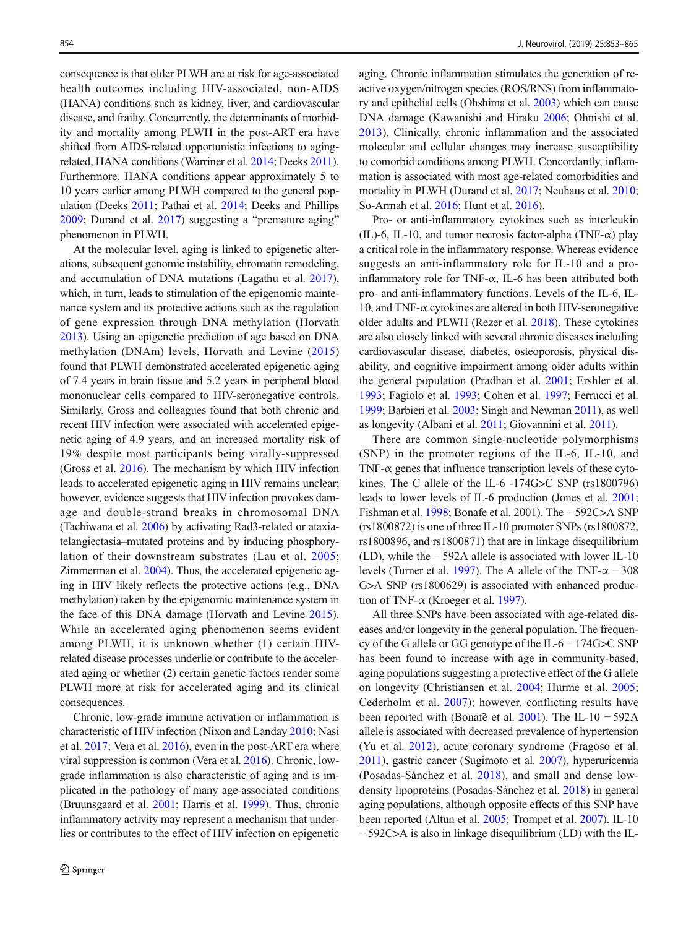consequence is that older PLWH are at risk for age-associated health outcomes including HIV-associated, non-AIDS (HANA) conditions such as kidney, liver, and cardiovascular disease, and frailty. Concurrently, the determinants of morbidity and mortality among PLWH in the post-ART era have shifted from AIDS-related opportunistic infections to agingrelated, HANA conditions (Warriner et al. [2014](#page-11-0); Deeks [2011\)](#page-9-0). Furthermore, HANA conditions appear approximately 5 to 10 years earlier among PLWH compared to the general population (Deeks [2011;](#page-9-0) Pathai et al. [2014](#page-11-0); Deeks and Phillips [2009;](#page-9-0) Durand et al. [2017](#page-10-0)) suggesting a "premature aging" phenomenon in PLWH.

At the molecular level, aging is linked to epigenetic alterations, subsequent genomic instability, chromatin remodeling, and accumulation of DNA mutations (Lagathu et al. [2017\)](#page-10-0), which, in turn, leads to stimulation of the epigenomic maintenance system and its protective actions such as the regulation of gene expression through DNA methylation (Horvath [2013\)](#page-10-0). Using an epigenetic prediction of age based on DNA methylation (DNAm) levels, Horvath and Levine [\(2015\)](#page-10-0) found that PLWH demonstrated accelerated epigenetic aging of 7.4 years in brain tissue and 5.2 years in peripheral blood mononuclear cells compared to HIV-seronegative controls. Similarly, Gross and colleagues found that both chronic and recent HIV infection were associated with accelerated epigenetic aging of 4.9 years, and an increased mortality risk of 19% despite most participants being virally-suppressed (Gross et al. [2016\)](#page-10-0). The mechanism by which HIV infection leads to accelerated epigenetic aging in HIV remains unclear; however, evidence suggests that HIV infection provokes damage and double-strand breaks in chromosomal DNA (Tachiwana et al. [2006](#page-11-0)) by activating Rad3-related or ataxiatelangiectasia–mutated proteins and by inducing phosphorylation of their downstream substrates (Lau et al. [2005](#page-10-0); Zimmerman et al. [2004](#page-12-0)). Thus, the accelerated epigenetic aging in HIV likely reflects the protective actions (e.g., DNA methylation) taken by the epigenomic maintenance system in the face of this DNA damage (Horvath and Levine [2015](#page-10-0)). While an accelerated aging phenomenon seems evident among PLWH, it is unknown whether (1) certain HIVrelated disease processes underlie or contribute to the accelerated aging or whether (2) certain genetic factors render some PLWH more at risk for accelerated aging and its clinical consequences.

Chronic, low-grade immune activation or inflammation is characteristic of HIV infection (Nixon and Landay [2010;](#page-11-0) Nasi et al. [2017;](#page-10-0) Vera et al. [2016\)](#page-11-0), even in the post-ART era where viral suppression is common (Vera et al. [2016\)](#page-11-0). Chronic, lowgrade inflammation is also characteristic of aging and is implicated in the pathology of many age-associated conditions (Bruunsgaard et al. [2001;](#page-9-0) Harris et al. [1999\)](#page-10-0). Thus, chronic inflammatory activity may represent a mechanism that underlies or contributes to the effect of HIV infection on epigenetic aging. Chronic inflammation stimulates the generation of reactive oxygen/nitrogen species (ROS/RNS) from inflammatory and epithelial cells (Ohshima et al. [2003](#page-11-0)) which can cause DNA damage (Kawanishi and Hiraku [2006;](#page-10-0) Ohnishi et al. [2013](#page-11-0)). Clinically, chronic inflammation and the associated molecular and cellular changes may increase susceptibility to comorbid conditions among PLWH. Concordantly, inflammation is associated with most age-related comorbidities and mortality in PLWH (Durand et al. [2017](#page-10-0); Neuhaus et al. [2010;](#page-11-0) So-Armah et al. [2016](#page-11-0); Hunt et al. [2016\)](#page-10-0).

Pro- or anti-inflammatory cytokines such as interleukin (IL)-6, IL-10, and tumor necrosis factor-alpha (TNF- $\alpha$ ) play a critical role in the inflammatory response. Whereas evidence suggests an anti-inflammatory role for IL-10 and a proinflammatory role for TNF- $\alpha$ , IL-6 has been attributed both pro- and anti-inflammatory functions. Levels of the IL-6, IL-10, and TNF- $\alpha$  cytokines are altered in both HIV-seronegative older adults and PLWH (Rezer et al. [2018](#page-11-0)). These cytokines are also closely linked with several chronic diseases including cardiovascular disease, diabetes, osteoporosis, physical disability, and cognitive impairment among older adults within the general population (Pradhan et al. [2001;](#page-11-0) Ershler et al. [1993;](#page-10-0) Fagiolo et al. [1993;](#page-10-0) Cohen et al. [1997;](#page-9-0) Ferrucci et al. [1999;](#page-10-0) Barbieri et al. [2003](#page-9-0); Singh and Newman [2011](#page-11-0)), as well as longevity (Albani et al. [2011;](#page-9-0) Giovannini et al. [2011](#page-10-0)).

There are common single-nucleotide polymorphisms (SNP) in the promoter regions of the IL-6, IL-10, and TNF- $\alpha$  genes that influence transcription levels of these cytokines. The C allele of the IL-6 -174G>C SNP (rs1800796) leads to lower levels of IL-6 production (Jones et al. [2001;](#page-10-0) Fishman et al. [1998](#page-10-0); Bonafe et al. 2001). The − 592C>A SNP (rs1800872) is one of three IL-10 promoter SNPs (rs1800872, rs1800896, and rs1800871) that are in linkage disequilibrium (LD), while the − 592A allele is associated with lower IL-10 levels (Turner et al. [1997](#page-11-0)). The A allele of the TNF- $\alpha$  – 308 G>A SNP (rs1800629) is associated with enhanced production of TNF-α (Kroeger et al. [1997\)](#page-10-0).

All three SNPs have been associated with age-related diseases and/or longevity in the general population. The frequency of the G allele or GG genotype of the IL-6 − 174G>C SNP has been found to increase with age in community-based, aging populations suggesting a protective effect of the G allele on longevity (Christiansen et al. [2004](#page-9-0); Hurme et al. [2005;](#page-10-0) Cederholm et al. [2007\)](#page-9-0); however, conflicting results have been reported with (Bonafè et al. [2001\)](#page-9-0). The IL-10 − 592A allele is associated with decreased prevalence of hypertension (Yu et al. [2012\)](#page-12-0), acute coronary syndrome (Fragoso et al. [2011](#page-10-0)), gastric cancer (Sugimoto et al. [2007](#page-11-0)), hyperuricemia (Posadas-Sánchez et al. [2018](#page-11-0)), and small and dense lowdensity lipoproteins (Posadas-Sánchez et al. [2018\)](#page-11-0) in general aging populations, although opposite effects of this SNP have been reported (Altun et al. [2005](#page-9-0); Trompet et al. [2007\)](#page-11-0). IL-10 − 592C>A is also in linkage disequilibrium (LD) with the IL-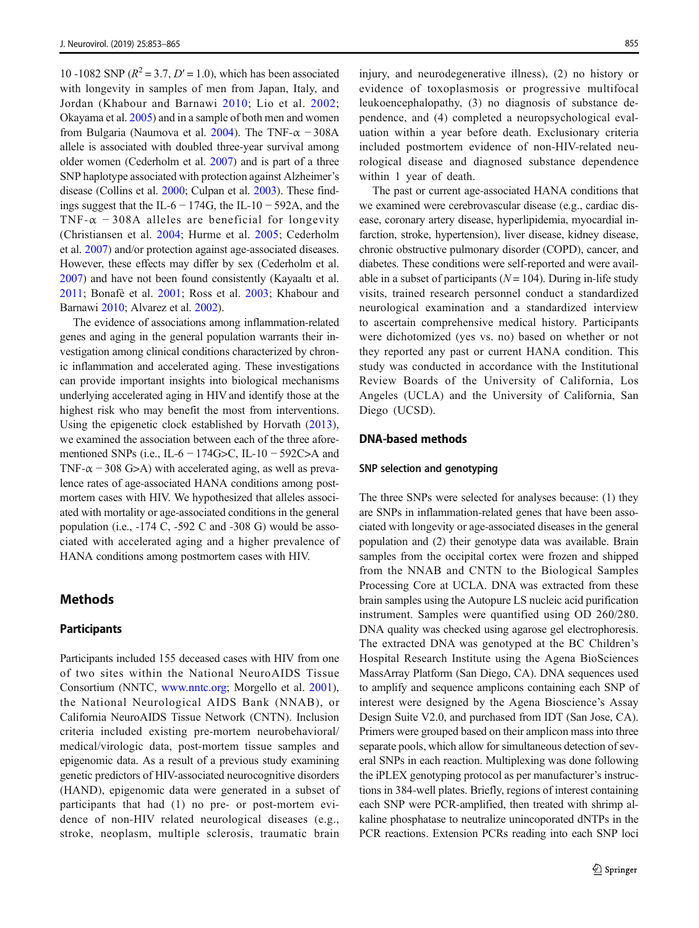10 -1082 SNP ( $R^2 = 3.7$ ,  $D' = 1.0$ ), which has been associated with longevity in samples of men from Japan, Italy, and Jordan (Khabour and Barnawi [2010](#page-10-0); Lio et al. [2002](#page-10-0); Okayama et al. [2005\)](#page-11-0) and in a sample of both men and women from Bulgaria (Naumova et al. [2004](#page-11-0)). The TNF- $\alpha$  – 308A allele is associated with doubled three-year survival among older women (Cederholm et al. [2007\)](#page-9-0) and is part of a three SNP haplotype associated with protection against Alzheimer's disease (Collins et al. [2000](#page-9-0); Culpan et al. [2003\)](#page-9-0). These findings suggest that the IL-6  $-$  174G, the IL-10  $-$  592A, and the TNF- $\alpha$  -308A alleles are beneficial for longevity (Christiansen et al. [2004;](#page-9-0) Hurme et al. [2005;](#page-10-0) Cederholm et al. [2007\)](#page-9-0) and/or protection against age-associated diseases. However, these effects may differ by sex (Cederholm et al. [2007\)](#page-9-0) and have not been found consistently (Kayaaltı et al. [2011;](#page-10-0) Bonafè et al. [2001;](#page-9-0) Ross et al. [2003](#page-11-0); Khabour and Barnawi [2010](#page-10-0); Alvarez et al. [2002\)](#page-9-0).

The evidence of associations among inflammation-related genes and aging in the general population warrants their investigation among clinical conditions characterized by chronic inflammation and accelerated aging. These investigations can provide important insights into biological mechanisms underlying accelerated aging in HIV and identify those at the highest risk who may benefit the most from interventions. Using the epigenetic clock established by Horvath ([2013](#page-10-0)), we examined the association between each of the three aforementioned SNPs (i.e., IL-6 – 174G>C, IL-10 – 592C>A and TNF- $\alpha$  – 308 G>A) with accelerated aging, as well as prevalence rates of age-associated HANA conditions among postmortem cases with HIV. We hypothesized that alleles associated with mortality or age-associated conditions in the general population (i.e., -174 C, -592 C and -308 G) would be associated with accelerated aging and a higher prevalence of HANA conditions among postmortem cases with HIV.

## Methods

#### **Participants**

Participants included 155 deceased cases with HIV from one of two sites within the National NeuroAIDS Tissue Consortium (NNTC, [www.nntc.org](http://www.nntc.org); Morgello et al. [2001](#page-10-0)), the National Neurological AIDS Bank (NNAB), or California NeuroAIDS Tissue Network (CNTN). Inclusion criteria included existing pre-mortem neurobehavioral/ medical/virologic data, post-mortem tissue samples and epigenomic data. As a result of a previous study examining genetic predictors of HIV-associated neurocognitive disorders (HAND), epigenomic data were generated in a subset of participants that had (1) no pre- or post-mortem evidence of non-HIV related neurological diseases (e.g., stroke, neoplasm, multiple sclerosis, traumatic brain injury, and neurodegenerative illness), (2) no history or evidence of toxoplasmosis or progressive multifocal leukoencephalopathy, (3) no diagnosis of substance dependence, and (4) completed a neuropsychological evaluation within a year before death. Exclusionary criteria included postmortem evidence of non-HIV-related neurological disease and diagnosed substance dependence within 1 year of death.

The past or current age-associated HANA conditions that we examined were cerebrovascular disease (e.g., cardiac disease, coronary artery disease, hyperlipidemia, myocardial infarction, stroke, hypertension), liver disease, kidney disease, chronic obstructive pulmonary disorder (COPD), cancer, and diabetes. These conditions were self-reported and were available in a subset of participants ( $N = 104$ ). During in-life study visits, trained research personnel conduct a standardized neurological examination and a standardized interview to ascertain comprehensive medical history. Participants were dichotomized (yes vs. no) based on whether or not they reported any past or current HANA condition. This study was conducted in accordance with the Institutional Review Boards of the University of California, Los Angeles (UCLA) and the University of California, San Diego (UCSD).

#### DNA-based methods

#### SNP selection and genotyping

The three SNPs were selected for analyses because: (1) they are SNPs in inflammation-related genes that have been associated with longevity or age-associated diseases in the general population and (2) their genotype data was available. Brain samples from the occipital cortex were frozen and shipped from the NNAB and CNTN to the Biological Samples Processing Core at UCLA. DNA was extracted from these brain samples using the Autopure LS nucleic acid purification instrument. Samples were quantified using OD 260/280. DNA quality was checked using agarose gel electrophoresis. The extracted DNA was genotyped at the BC Children's Hospital Research Institute using the Agena BioSciences MassArray Platform (San Diego, CA). DNA sequences used to amplify and sequence amplicons containing each SNP of interest were designed by the Agena Bioscience's Assay Design Suite V2.0, and purchased from IDT (San Jose, CA). Primers were grouped based on their amplicon mass into three separate pools, which allow for simultaneous detection of several SNPs in each reaction. Multiplexing was done following the iPLEX genotyping protocol as per manufacturer's instructions in 384-well plates. Briefly, regions of interest containing each SNP were PCR-amplified, then treated with shrimp alkaline phosphatase to neutralize unincoporated dNTPs in the PCR reactions. Extension PCRs reading into each SNP loci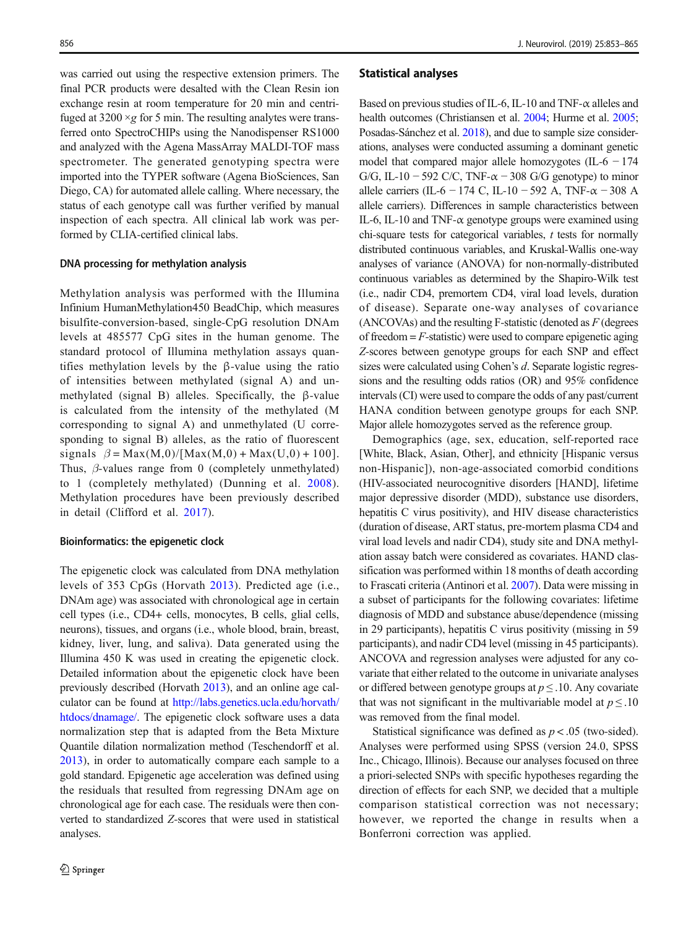was carried out using the respective extension primers. The final PCR products were desalted with the Clean Resin ion exchange resin at room temperature for 20 min and centrifuged at  $3200 \times g$  for 5 min. The resulting analytes were transferred onto SpectroCHIPs using the Nanodispenser RS1000 and analyzed with the Agena MassArray MALDI-TOF mass spectrometer. The generated genotyping spectra were imported into the TYPER software (Agena BioSciences, San Diego, CA) for automated allele calling. Where necessary, the status of each genotype call was further verified by manual inspection of each spectra. All clinical lab work was performed by CLIA-certified clinical labs.

#### DNA processing for methylation analysis

Methylation analysis was performed with the Illumina Infinium HumanMethylation450 BeadChip, which measures bisulfite-conversion-based, single-CpG resolution DNAm levels at 485577 CpG sites in the human genome. The standard protocol of Illumina methylation assays quantifies methylation levels by the β-value using the ratio of intensities between methylated (signal A) and unmethylated (signal B) alleles. Specifically, the β-value is calculated from the intensity of the methylated (M corresponding to signal A) and unmethylated (U corresponding to signal B) alleles, as the ratio of fluorescent signals  $\beta = \text{Max}(M,0)/[\text{Max}(M,0) + \text{Max}(U,0) + 100].$ Thus,  $\beta$ -values range from 0 (completely unmethylated) to 1 (completely methylated) (Dunning et al. [2008](#page-10-0)). Methylation procedures have been previously described in detail (Clifford et al. [2017](#page-9-0)).

#### Bioinformatics: the epigenetic clock

The epigenetic clock was calculated from DNA methylation levels of 353 CpGs (Horvath [2013\)](#page-10-0). Predicted age (i.e., DNAm age) was associated with chronological age in certain cell types (i.e., CD4+ cells, monocytes, B cells, glial cells, neurons), tissues, and organs (i.e., whole blood, brain, breast, kidney, liver, lung, and saliva). Data generated using the Illumina 450 K was used in creating the epigenetic clock. Detailed information about the epigenetic clock have been previously described (Horvath [2013\)](#page-10-0), and an online age calculator can be found at [http://labs.genetics.ucla.edu/horvath/](http://labs.genetics.ucla.edu/horvath/htdocs/dnamage/) [htdocs/dnamage/.](http://labs.genetics.ucla.edu/horvath/htdocs/dnamage/) The epigenetic clock software uses a data normalization step that is adapted from the Beta Mixture Quantile dilation normalization method (Teschendorff et al. [2013\)](#page-11-0), in order to automatically compare each sample to a gold standard. Epigenetic age acceleration was defined using the residuals that resulted from regressing DNAm age on chronological age for each case. The residuals were then converted to standardized Z-scores that were used in statistical analyses.

#### Statistical analyses

Based on previous studies of IL-6, IL-10 and TNF-α alleles and health outcomes (Christiansen et al. [2004;](#page-9-0) Hurme et al. [2005;](#page-10-0) Posadas-Sánchez et al. [2018](#page-11-0)), and due to sample size considerations, analyses were conducted assuming a dominant genetic model that compared major allele homozygotes (IL-6  $-174$ ) G/G, IL-10 − 592 C/C, TNF- $\alpha$  – 308 G/G genotype) to minor allele carriers (IL-6 − 174 C, IL-10 − 592 A, TNF- $\alpha$  − 308 A allele carriers). Differences in sample characteristics between IL-6, IL-10 and TNF-α genotype groups were examined using chi-square tests for categorical variables,  $t$  tests for normally distributed continuous variables, and Kruskal-Wallis one-way analyses of variance (ANOVA) for non-normally-distributed continuous variables as determined by the Shapiro-Wilk test (i.e., nadir CD4, premortem CD4, viral load levels, duration of disease). Separate one-way analyses of covariance  $(ANCOVAs)$  and the resulting F-statistic (denoted as  $F$  (degrees of freedom  $=$   $F$ -statistic) were used to compare epigenetic aging Z-scores between genotype groups for each SNP and effect sizes were calculated using Cohen's d. Separate logistic regressions and the resulting odds ratios (OR) and 95% confidence intervals (CI) were used to compare the odds of any past/current HANA condition between genotype groups for each SNP. Major allele homozygotes served as the reference group.

Demographics (age, sex, education, self-reported race [White, Black, Asian, Other], and ethnicity [Hispanic versus non-Hispanic]), non-age-associated comorbid conditions (HIV-associated neurocognitive disorders [HAND], lifetime major depressive disorder (MDD), substance use disorders, hepatitis C virus positivity), and HIV disease characteristics (duration of disease, ART status, pre-mortem plasma CD4 and viral load levels and nadir CD4), study site and DNA methylation assay batch were considered as covariates. HAND classification was performed within 18 months of death according to Frascati criteria (Antinori et al. [2007](#page-9-0)). Data were missing in a subset of participants for the following covariates: lifetime diagnosis of MDD and substance abuse/dependence (missing in 29 participants), hepatitis C virus positivity (missing in 59 participants), and nadir CD4 level (missing in 45 participants). ANCOVA and regression analyses were adjusted for any covariate that either related to the outcome in univariate analyses or differed between genotype groups at  $p \leq 0.10$ . Any covariate that was not significant in the multivariable model at  $p \leq 0.10$ was removed from the final model.

Statistical significance was defined as  $p < .05$  (two-sided). Analyses were performed using SPSS (version 24.0, SPSS Inc., Chicago, Illinois). Because our analyses focused on three a priori-selected SNPs with specific hypotheses regarding the direction of effects for each SNP, we decided that a multiple comparison statistical correction was not necessary; however, we reported the change in results when a Bonferroni correction was applied.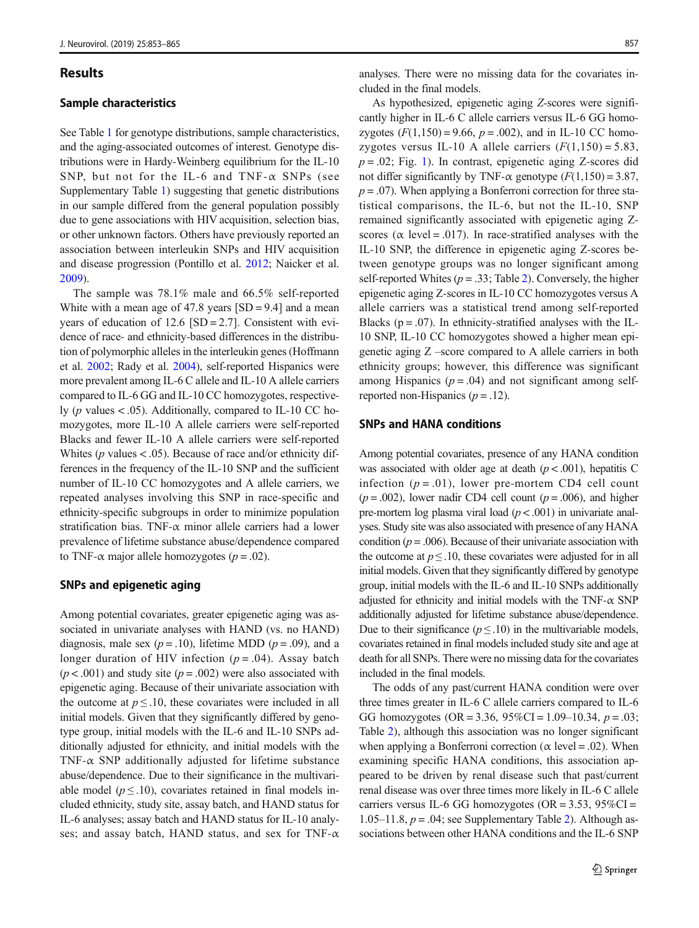#### Results

#### Sample characteristics

See Table [1](#page-5-0) for genotype distributions, sample characteristics, and the aging-associated outcomes of interest. Genotype distributions were in Hardy-Weinberg equilibrium for the IL-10 SNP, but not for the IL-6 and TNF- $\alpha$  SNPs (see Supplementary Table 1) suggesting that genetic distributions in our sample differed from the general population possibly due to gene associations with HIV acquisition, selection bias, or other unknown factors. Others have previously reported an association between interleukin SNPs and HIV acquisition and disease progression (Pontillo et al. [2012;](#page-11-0) Naicker et al. [2009\)](#page-10-0).

The sample was 78.1% male and 66.5% self-reported White with a mean age of 47.8 years  $[SD = 9.4]$  and a mean years of education of  $12.6$  [SD =  $2.7$ ]. Consistent with evidence of race- and ethnicity-based differences in the distribution of polymorphic alleles in the interleukin genes (Hoffmann et al. [2002;](#page-10-0) Rady et al. [2004](#page-11-0)), self-reported Hispanics were more prevalent among IL-6 C allele and IL-10 A allele carriers compared to IL-6 GG and IL-10 CC homozygotes, respectively ( $p$  values < .05). Additionally, compared to IL-10 CC homozygotes, more IL-10 A allele carriers were self-reported Blacks and fewer IL-10 A allele carriers were self-reported Whites ( $p$  values < .05). Because of race and/or ethnicity differences in the frequency of the IL-10 SNP and the sufficient number of IL-10 CC homozygotes and A allele carriers, we repeated analyses involving this SNP in race-specific and ethnicity-specific subgroups in order to minimize population stratification bias. TNF- $\alpha$  minor allele carriers had a lower prevalence of lifetime substance abuse/dependence compared to TNF- $\alpha$  major allele homozygotes ( $p = .02$ ).

## SNPs and epigenetic aging

Among potential covariates, greater epigenetic aging was associated in univariate analyses with HAND (vs. no HAND) diagnosis, male sex ( $p = .10$ ), lifetime MDD ( $p = .09$ ), and a longer duration of HIV infection  $(p = .04)$ . Assay batch  $(p < .001)$  and study site  $(p = .002)$  were also associated with epigenetic aging. Because of their univariate association with the outcome at  $p \leq 0.10$ , these covariates were included in all initial models. Given that they significantly differed by genotype group, initial models with the IL-6 and IL-10 SNPs additionally adjusted for ethnicity, and initial models with the TNF- $\alpha$  SNP additionally adjusted for lifetime substance abuse/dependence. Due to their significance in the multivariable model ( $p \leq 0.10$ ), covariates retained in final models included ethnicity, study site, assay batch, and HAND status for IL-6 analyses; assay batch and HAND status for IL-10 analyses; and assay batch, HAND status, and sex for TNF- $\alpha$ 

analyses. There were no missing data for the covariates included in the final models.

As hypothesized, epigenetic aging Z-scores were significantly higher in IL-6 C allele carriers versus IL-6 GG homozygotes  $(F(1,150) = 9.66, p = .002)$ , and in IL-10 CC homozygotes versus IL-10 A allele carriers  $(F(1,150) = 5.83)$ ,  $p = .02$ ; Fig. [1](#page-6-0)). In contrast, epigenetic aging Z-scores did not differ significantly by TNF- $\alpha$  genotype ( $F(1,150) = 3.87$ ,  $p = .07$ ). When applying a Bonferroni correction for three statistical comparisons, the IL-6, but not the IL-10, SNP remained significantly associated with epigenetic aging Zscores ( $\alpha$  level = .017). In race-stratified analyses with the IL-10 SNP, the difference in epigenetic aging Z-scores between genotype groups was no longer significant among self-reported Whites ( $p = .33$ ; Table [2\)](#page-6-0). Conversely, the higher epigenetic aging Z-scores in IL-10 CC homozygotes versus A allele carriers was a statistical trend among self-reported Blacks ( $p = .07$ ). In ethnicity-stratified analyses with the IL-10 SNP, IL-10 CC homozygotes showed a higher mean epigenetic aging Z –score compared to A allele carriers in both ethnicity groups; however, this difference was significant among Hispanics ( $p = .04$ ) and not significant among selfreported non-Hispanics  $(p = .12)$ .

## SNPs and HANA conditions

Among potential covariates, presence of any HANA condition was associated with older age at death  $(p < .001)$ , hepatitis C infection  $(p=.01)$ , lower pre-mortem CD4 cell count  $(p = .002)$ , lower nadir CD4 cell count  $(p = .006)$ , and higher pre-mortem log plasma viral load  $(p < .001)$  in univariate analyses. Study site was also associated with presence of any HANA condition ( $p = .006$ ). Because of their univariate association with the outcome at  $p \leq 0.10$ , these covariates were adjusted for in all initial models. Given that they significantly differed by genotype group, initial models with the IL-6 and IL-10 SNPs additionally adjusted for ethnicity and initial models with the TNF- $\alpha$  SNP additionally adjusted for lifetime substance abuse/dependence. Due to their significance ( $p \leq .10$ ) in the multivariable models, covariates retained in final models included study site and age at death for all SNPs. There were no missing data for the covariates included in the final models.

The odds of any past/current HANA condition were over three times greater in IL-6 C allele carriers compared to IL-6 GG homozygotes (OR = 3.36,  $95\%$ CI = 1.09–10.34,  $p = .03$ ; Table [2\)](#page-6-0), although this association was no longer significant when applying a Bonferroni correction ( $\alpha$  level = .02). When examining specific HANA conditions, this association appeared to be driven by renal disease such that past/current renal disease was over three times more likely in IL-6 C allele carriers versus IL-6 GG homozygotes ( $OR = 3.53$ ,  $95\%CI =$ 1.05–11.8,  $p = .04$ ; see Supplementary Table 2). Although associations between other HANA conditions and the IL-6 SNP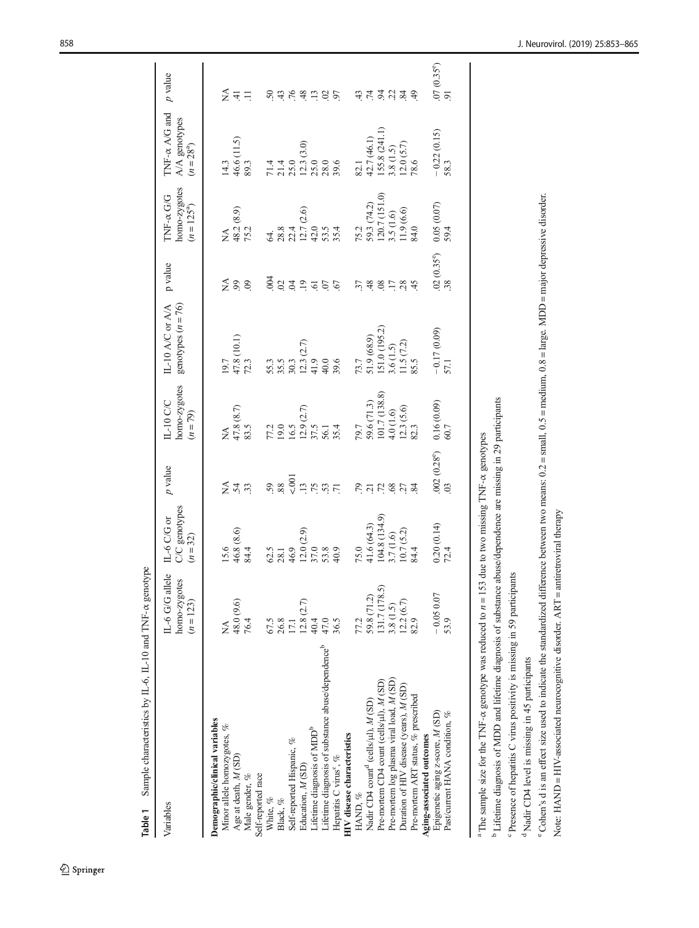| Variables                                                                                                                                                                                                                                                                                                 | IL-6 G/G allele<br>homo-zygotes<br>$(n = 123)$                       | C/C genotypes<br>IL-6 C/G or<br>$(n = 32)$                            | $p$ value                                                       | homo-zygotes<br>$IL-10$ C/C<br>$(n = 79)$                                | genotypes $(n = 76)$<br>IL-10 A/C or A/A                                  | p value                                                   | homo-zygotes<br>TNF-x G/G<br>$(n = 125^a)$                                | TNF- $\alpha$ A/G and<br>A/A genotypes<br>$(n = 28^{a})$                  | p value                            |
|-----------------------------------------------------------------------------------------------------------------------------------------------------------------------------------------------------------------------------------------------------------------------------------------------------------|----------------------------------------------------------------------|-----------------------------------------------------------------------|-----------------------------------------------------------------|--------------------------------------------------------------------------|---------------------------------------------------------------------------|-----------------------------------------------------------|---------------------------------------------------------------------------|---------------------------------------------------------------------------|------------------------------------|
| Demographic/clinical variables<br>Minor allele homozygotes, %<br>Age at death, M (SD)<br>Male gender, %                                                                                                                                                                                                   | 48.0 (9.6)<br>76.4<br>≸                                              | 46.8 (8.6)<br>84.4                                                    | 54.3                                                            | $47.8$ (8.7)<br>83.5                                                     | $47.8(10.1)$<br>$72.3$                                                    | ≨<br>60<br>$\odot$                                        | 48.2 (8.9)<br>75.2<br>≸                                                   | 46.6 (11.5)<br>89.3<br>14.3                                               | ≨ ±<br>$\equiv$                    |
| Self-reported Hispanic, %<br>Self-reported race<br>White, %<br>Black, $\%$                                                                                                                                                                                                                                | 26.8<br>67.5<br>17.1                                                 | 62.5<br>46.9<br>28.1                                                  | 5001<br>88<br>59                                                | 77.2<br>19.0<br>16.5                                                     | 55.3<br>35.5<br>30.3                                                      | .004<br>59                                                | 28.8<br>22.4                                                              | $21.4$<br>$25.0$<br>71.4                                                  |                                    |
| Lifetime diagnosis of substance abuse/dependence <sup>b</sup><br>Lifetime diagnosis of MDD <sup>b</sup><br>HIV disease characteristics<br>Hepatitis C virus <sup>°</sup> , %<br>Education, M(SD)                                                                                                          | $\begin{array}{c} 12.8 \; (2.7) \\ 40.4 \\ 47.0 \end{array}$<br>36.5 | $12.0(2.9)$<br>37.0<br>53.8<br>40.9                                   | $\overline{13}$<br>75<br>$\overline{71}$                        | $12.9(2.7)$<br>37.5<br>35.4<br>56.1                                      | $12.3 (2.7)$<br>41.9<br>40.0<br>39.6                                      | $\overline{19}$<br>$\overline{0}$<br>67<br>$\overline{6}$ | $12.7(2.6)$<br>42.0<br>53.5<br>35.4                                       | $\begin{array}{c} 12.3 \ (3.0) \\ 25.0 \\ 28.0 \end{array}$<br>39.6       | 9998925                            |
| Pre-mortem log plasma viral load, M (SD)<br>Pre-mortem CD4 count (cells/µl), M (SD)<br>Duration of HIV disease (years), M (SD)<br>Pre-mortem ART status, % prescribed<br>Nadir CD4 count <sup>4</sup> (cells/µl), M (SD)<br>HAND, %                                                                       | 131.7 (178.5)<br>59.8 (71.2)<br>$12.2(6.7)$<br>82.9<br>3.8(1.5)      | 104.8 (134.9)<br>41.6 (64.3)<br>10.7(5.2)<br>3.7(1.6)<br>75.0<br>84.4 | $\ddot{r}$ $\ddot{r}$ $\ddot{r}$<br>27<br>68<br>$\overline{84}$ | $\frac{59.6}{101.7}$ (138.8)<br>4.0 (1.6)<br>$12.3(5.6)$<br>82.3<br>79.7 | 51.0 (195.2)<br>51.9 (68.9)<br>$3.6(1.5)$<br>11.5 $(7.2)$<br>85.5<br>73.7 | 57<br>48<br>$\frac{8}{2}$<br>28<br>$\overline{17}$<br>45  | $59.3(74.2)$<br>120.7(151.0)<br>$3.5(1.6)$<br>$11.9(6.6)$<br>84.0<br>75.2 | (55.8 (241.1))<br>42.7 (46.1)<br>$12.0 (5.7)$<br>78.6<br>3.8(1.5)<br>82.1 | cirgida<br>$\frac{9}{4}$           |
| Epigenetic aging z-score, M (SD)<br>Past/current HANA condition, %<br>Aging-associated outcomes                                                                                                                                                                                                           | $-0.05007$<br>53.9                                                   | 0.20(0.14)<br>72.4                                                    | .002(0.28°)<br>$\mathfrak{S}$                                   | 0.16(0.09)<br>60.7                                                       | $-0.17(0.09)$<br>57.1                                                     | $.02(0.35^{\circ})$<br>$.38$                              | 0.05(0.07)<br>59.4                                                        | $-0.22(0.15)$<br>58.3                                                     | $\frac{07}{91}$ (0.35 $^{\circ}$ ) |
| <sup>b</sup> Lifetime diagnosis of MDD and lifetime diagnosis of substance abuse/dependence are missing in 29 participants<br><sup>c</sup> Presence of hepatitis C virus positivity is missing in 59 participants<br><sup>a</sup> The sample size for the TNF- $\alpha$ genotype was reduced to $n = 153$ |                                                                      | due to two missing TNF- $\alpha$ genotypes                            |                                                                 |                                                                          |                                                                           |                                                           |                                                                           |                                                                           |                                    |

Table 1 Sample characteristics by IL-6, IL-10 and TNF- $\alpha$  genotype **Table 1** Sample characteristics by  $IL-6$ ,  $IL-10$  and TNF- $\alpha$  genotype

<span id="page-5-0"></span>

<sup>d</sup>Nadir CD4 level is missing in 45 participants Nadir CD4 level is missing in 45 participants

Note: HAND = HIV-associated neurocognitive disorder. ART = antiretroviral therapy

Note: HAND = HIV-associated neurocognitive disorder. ART = antiretroviral therapy

Cohen's d is an effect size used to indicate the standardized difference between two means:  $0.2$  = small,  $0.5$  = medium,  $0.8$  = large. MDD = major depressive disorder.

 $^{\circ}$  Cohen's d is an effect size used to indicate the standardized difference between two means: 0.2 = small, 0.5 = medium, 0.8 = large. MDD = major depressive disorder.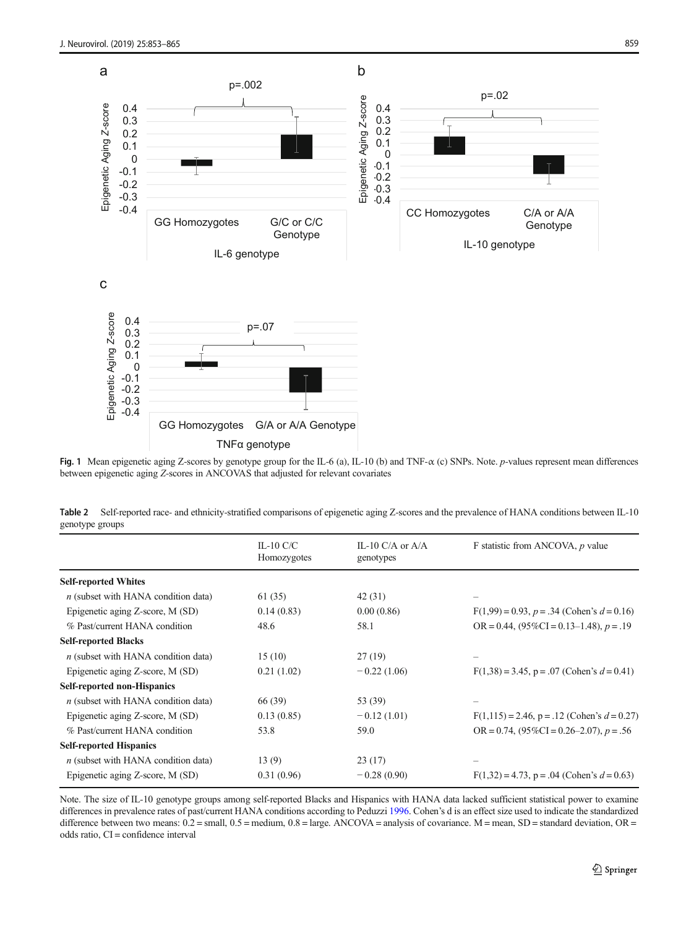<span id="page-6-0"></span>

Fig. 1 Mean epigenetic aging Z-scores by genotype group for the IL-6 (a), IL-10 (b) and TNF- $\alpha$  (c) SNPs. Note. *p*-values represent mean differences between epigenetic aging Z-scores in ANCOVAS that adjusted for relevant covariates

Table 2 Self-reported race- and ethnicity-stratified comparisons of epigenetic aging Z-scores and the prevalence of HANA conditions between IL-10 genotype groups

|                                       | IL-10 C/C<br>Homozygotes | IL-10 C/A or $A/A$<br>genotypes | F statistic from ANCOVA, p value                   |
|---------------------------------------|--------------------------|---------------------------------|----------------------------------------------------|
|                                       |                          |                                 |                                                    |
| <b>Self-reported Whites</b>           |                          |                                 |                                                    |
| $n$ (subset with HANA condition data) | 61 (35)                  | 42 (31)                         |                                                    |
| Epigenetic aging Z-score, M (SD)      | 0.14(0.83)               | 0.00(0.86)                      | $F(1,99) = 0.93$ , $p = .34$ (Cohen's $d = 0.16$ ) |
| % Past/current HANA condition         | 48.6                     | 58.1                            | $OR = 0.44$ , $(95\%CI = 0.13-1.48)$ , $p = .19$   |
| <b>Self-reported Blacks</b>           |                          |                                 |                                                    |
| $n$ (subset with HANA condition data) | 15(10)                   | 27(19)                          |                                                    |
| Epigenetic aging Z-score, M (SD)      | 0.21(1.02)               | $-0.22(1.06)$                   | $F(1,38) = 3.45$ , p = .07 (Cohen's $d = 0.41$ )   |
| <b>Self-reported non-Hispanics</b>    |                          |                                 |                                                    |
| $n$ (subset with HANA condition data) | 66 (39)                  | 53 (39)                         |                                                    |
| Epigenetic aging Z-score, M (SD)      | 0.13(0.85)               | $-0.12(1.01)$                   | $F(1,115) = 2.46$ , p = .12 (Cohen's $d = 0.27$ )  |
| % Past/current HANA condition         | 53.8                     | 59.0                            | OR = 0.74, $(95\%CI = 0.26-2.07)$ , $p = .56$      |
| <b>Self-reported Hispanics</b>        |                          |                                 |                                                    |
| $n$ (subset with HANA condition data) | 13(9)                    | 23(17)                          |                                                    |
| Epigenetic aging Z-score, M (SD)      | 0.31(0.96)               | $-0.28(0.90)$                   | $F(1,32) = 4.73$ , p = .04 (Cohen's $d = 0.63$ )   |

Note. The size of IL-10 genotype groups among self-reported Blacks and Hispanics with HANA data lacked sufficient statistical power to examine differences in prevalence rates of past/current HANA conditions according to Peduzzi [1996](#page-11-0). Cohen's d is an effect size used to indicate the standardized difference between two means:  $0.2$  = small,  $0.5$  = medium,  $0.8$  = large. ANCOVA = analysis of covariance. M = mean, SD = standard deviation, OR = odds ratio, CI = confidence interval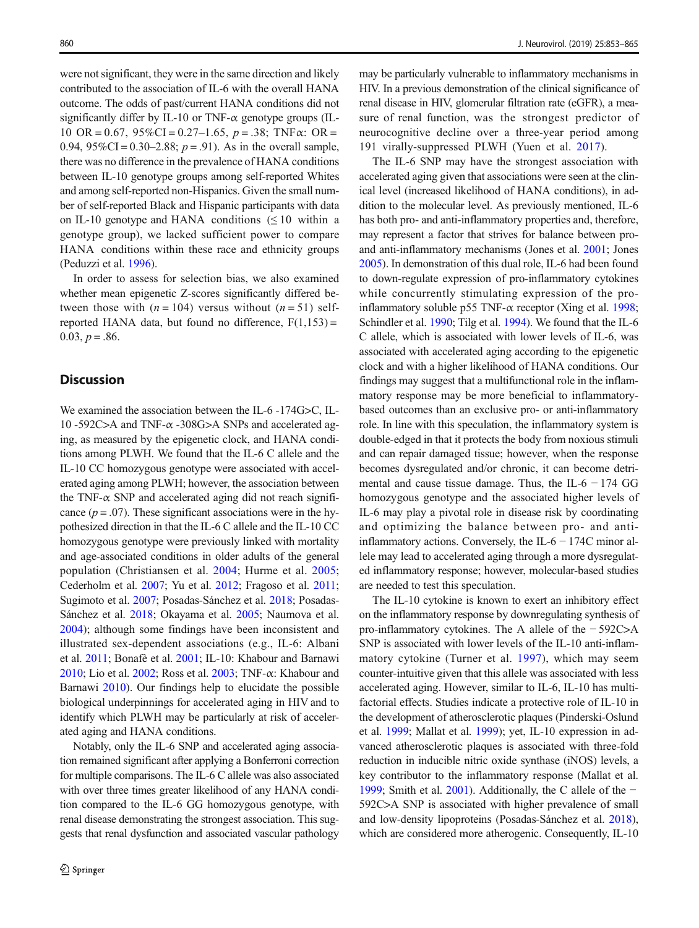were not significant, they were in the same direction and likely contributed to the association of IL-6 with the overall HANA outcome. The odds of past/current HANA conditions did not significantly differ by IL-10 or TNF- $\alpha$  genotype groups (IL-10 OR = 0.67,  $95\%$ CI = 0.27–1.65,  $p = .38$ ; TNF $\alpha$ : OR = 0.94,  $95\%$ CI = 0.30–2.88;  $p = .91$ ). As in the overall sample, there was no difference in the prevalence of HANA conditions between IL-10 genotype groups among self-reported Whites and among self-reported non-Hispanics. Given the small number of self-reported Black and Hispanic participants with data on IL-10 genotype and HANA conditions  $(\leq 10$  within a genotype group), we lacked sufficient power to compare HANA conditions within these race and ethnicity groups (Peduzzi et al. [1996\)](#page-11-0).

In order to assess for selection bias, we also examined whether mean epigenetic Z-scores significantly differed between those with  $(n = 104)$  versus without  $(n = 51)$  selfreported HANA data, but found no difference,  $F(1,153) =$  $0.03, p = .86.$ 

## **Discussion**

We examined the association between the IL-6 -174G>C, IL-10 -592C>A and TNF- $\alpha$  -308G>A SNPs and accelerated aging, as measured by the epigenetic clock, and HANA conditions among PLWH. We found that the IL-6 C allele and the IL-10 CC homozygous genotype were associated with accelerated aging among PLWH; however, the association between the TNF- $\alpha$  SNP and accelerated aging did not reach significance  $(p = .07)$ . These significant associations were in the hypothesized direction in that the IL-6 C allele and the IL-10 CC homozygous genotype were previously linked with mortality and age-associated conditions in older adults of the general population (Christiansen et al. [2004](#page-9-0); Hurme et al. [2005](#page-10-0); Cederholm et al. [2007](#page-9-0); Yu et al. [2012](#page-12-0); Fragoso et al. [2011](#page-10-0); Sugimoto et al. [2007;](#page-11-0) Posadas-Sánchez et al. [2018](#page-11-0); Posadas-Sánchez et al. [2018](#page-11-0); Okayama et al. [2005](#page-11-0); Naumova et al. [2004\)](#page-11-0); although some findings have been inconsistent and illustrated sex-dependent associations (e.g., IL-6: Albani et al. [2011](#page-9-0); Bonafè et al. [2001;](#page-9-0) IL-10: Khabour and Barnawi [2010;](#page-10-0) Lio et al. [2002;](#page-10-0) Ross et al. [2003](#page-11-0); TNF-α: Khabour and Barnawi [2010](#page-10-0)). Our findings help to elucidate the possible biological underpinnings for accelerated aging in HIV and to identify which PLWH may be particularly at risk of accelerated aging and HANA conditions.

Notably, only the IL-6 SNP and accelerated aging association remained significant after applying a Bonferroni correction for multiple comparisons. The IL-6 C allele was also associated with over three times greater likelihood of any HANA condition compared to the IL-6 GG homozygous genotype, with renal disease demonstrating the strongest association. This suggests that renal dysfunction and associated vascular pathology may be particularly vulnerable to inflammatory mechanisms in HIV. In a previous demonstration of the clinical significance of renal disease in HIV, glomerular filtration rate (eGFR), a measure of renal function, was the strongest predictor of neurocognitive decline over a three-year period among 191 virally-suppressed PLWH (Yuen et al. [2017\)](#page-12-0).

The IL-6 SNP may have the strongest association with accelerated aging given that associations were seen at the clinical level (increased likelihood of HANA conditions), in addition to the molecular level. As previously mentioned, IL-6 has both pro- and anti-inflammatory properties and, therefore, may represent a factor that strives for balance between proand anti-inflammatory mechanisms (Jones et al. [2001;](#page-10-0) Jones [2005\)](#page-10-0). In demonstration of this dual role, IL-6 had been found to down-regulate expression of pro-inflammatory cytokines while concurrently stimulating expression of the proinflammatory soluble p55 TNF- $\alpha$  receptor (Xing et al. [1998;](#page-11-0) Schindler et al. [1990;](#page-11-0) Tilg et al. [1994\)](#page-11-0). We found that the IL-6 C allele, which is associated with lower levels of IL-6, was associated with accelerated aging according to the epigenetic clock and with a higher likelihood of HANA conditions. Our findings may suggest that a multifunctional role in the inflammatory response may be more beneficial to inflammatorybased outcomes than an exclusive pro- or anti-inflammatory role. In line with this speculation, the inflammatory system is double-edged in that it protects the body from noxious stimuli and can repair damaged tissue; however, when the response becomes dysregulated and/or chronic, it can become detrimental and cause tissue damage. Thus, the IL-6  $-174$  GG homozygous genotype and the associated higher levels of IL-6 may play a pivotal role in disease risk by coordinating and optimizing the balance between pro- and antiinflammatory actions. Conversely, the IL-6  $-$  174C minor allele may lead to accelerated aging through a more dysregulated inflammatory response; however, molecular-based studies are needed to test this speculation.

The IL-10 cytokine is known to exert an inhibitory effect on the inflammatory response by downregulating synthesis of pro-inflammatory cytokines. The A allele of the − 592C>A SNP is associated with lower levels of the IL-10 anti-inflammatory cytokine (Turner et al. [1997\)](#page-11-0), which may seem counter-intuitive given that this allele was associated with less accelerated aging. However, similar to IL-6, IL-10 has multifactorial effects. Studies indicate a protective role of IL-10 in the development of atherosclerotic plaques (Pinderski-Oslund et al. [1999](#page-11-0); Mallat et al. [1999\)](#page-10-0); yet, IL-10 expression in advanced atherosclerotic plaques is associated with three-fold reduction in inducible nitric oxide synthase (iNOS) levels, a key contributor to the inflammatory response (Mallat et al. [1999;](#page-10-0) Smith et al. [2001\)](#page-11-0). Additionally, the C allele of the − 592C>A SNP is associated with higher prevalence of small and low-density lipoproteins (Posadas-Sánchez et al. [2018\)](#page-11-0), which are considered more atherogenic. Consequently, IL-10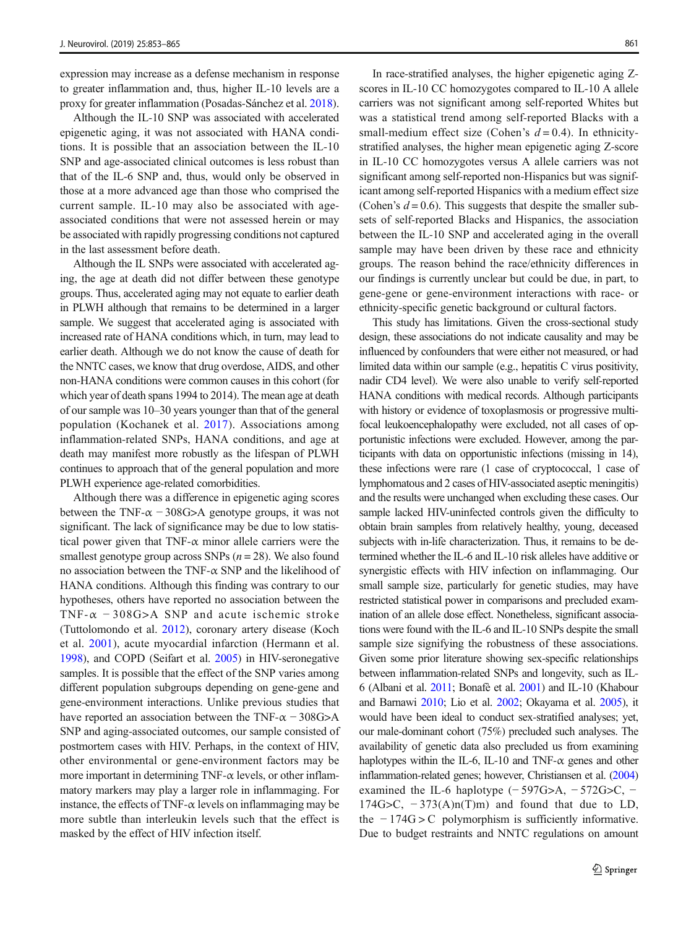expression may increase as a defense mechanism in response to greater inflammation and, thus, higher IL-10 levels are a proxy for greater inflammation (Posadas-Sánchez et al. [2018\)](#page-11-0).

Although the IL-10 SNP was associated with accelerated epigenetic aging, it was not associated with HANA conditions. It is possible that an association between the IL-10 SNP and age-associated clinical outcomes is less robust than that of the IL-6 SNP and, thus, would only be observed in those at a more advanced age than those who comprised the current sample. IL-10 may also be associated with ageassociated conditions that were not assessed herein or may be associated with rapidly progressing conditions not captured in the last assessment before death.

Although the IL SNPs were associated with accelerated aging, the age at death did not differ between these genotype groups. Thus, accelerated aging may not equate to earlier death in PLWH although that remains to be determined in a larger sample. We suggest that accelerated aging is associated with increased rate of HANA conditions which, in turn, may lead to earlier death. Although we do not know the cause of death for the NNTC cases, we know that drug overdose, AIDS, and other non-HANA conditions were common causes in this cohort (for which year of death spans 1994 to 2014). The mean age at death of our sample was 10–30 years younger than that of the general population (Kochanek et al. [2017\)](#page-10-0). Associations among inflammation-related SNPs, HANA conditions, and age at death may manifest more robustly as the lifespan of PLWH continues to approach that of the general population and more PLWH experience age-related comorbidities.

Although there was a difference in epigenetic aging scores between the TNF- $\alpha$  – 308G>A genotype groups, it was not significant. The lack of significance may be due to low statistical power given that  $TNF-\alpha$  minor allele carriers were the smallest genotype group across SNPs  $(n = 28)$ . We also found no association between the TNF- $\alpha$  SNP and the likelihood of HANA conditions. Although this finding was contrary to our hypotheses, others have reported no association between the TNF- $\alpha$  -308G>A SNP and acute ischemic stroke (Tuttolomondo et al. [2012\)](#page-11-0), coronary artery disease (Koch et al. [2001](#page-10-0)), acute myocardial infarction (Hermann et al. [1998\)](#page-10-0), and COPD (Seifart et al. [2005\)](#page-11-0) in HIV-seronegative samples. It is possible that the effect of the SNP varies among different population subgroups depending on gene-gene and gene-environment interactions. Unlike previous studies that have reported an association between the TNF- $\alpha$  – 308G>A SNP and aging-associated outcomes, our sample consisted of postmortem cases with HIV. Perhaps, in the context of HIV, other environmental or gene-environment factors may be more important in determining TNF- $\alpha$  levels, or other inflammatory markers may play a larger role in inflammaging. For instance, the effects of TNF- $\alpha$  levels on inflammaging may be more subtle than interleukin levels such that the effect is masked by the effect of HIV infection itself.

In race-stratified analyses, the higher epigenetic aging Zscores in IL-10 CC homozygotes compared to IL-10 A allele carriers was not significant among self-reported Whites but was a statistical trend among self-reported Blacks with a small-medium effect size (Cohen's  $d = 0.4$ ). In ethnicitystratified analyses, the higher mean epigenetic aging Z-score in IL-10 CC homozygotes versus A allele carriers was not significant among self-reported non-Hispanics but was significant among self-reported Hispanics with a medium effect size (Cohen's  $d = 0.6$ ). This suggests that despite the smaller subsets of self-reported Blacks and Hispanics, the association between the IL-10 SNP and accelerated aging in the overall sample may have been driven by these race and ethnicity groups. The reason behind the race/ethnicity differences in our findings is currently unclear but could be due, in part, to gene-gene or gene-environment interactions with race- or ethnicity-specific genetic background or cultural factors.

This study has limitations. Given the cross-sectional study design, these associations do not indicate causality and may be influenced by confounders that were either not measured, or had limited data within our sample (e.g., hepatitis C virus positivity, nadir CD4 level). We were also unable to verify self-reported HANA conditions with medical records. Although participants with history or evidence of toxoplasmosis or progressive multifocal leukoencephalopathy were excluded, not all cases of opportunistic infections were excluded. However, among the participants with data on opportunistic infections (missing in 14), these infections were rare (1 case of cryptococcal, 1 case of lymphomatous and 2 cases of HIV-associated aseptic meningitis) and the results were unchanged when excluding these cases. Our sample lacked HIV-uninfected controls given the difficulty to obtain brain samples from relatively healthy, young, deceased subjects with in-life characterization. Thus, it remains to be determined whether the IL-6 and IL-10 risk alleles have additive or synergistic effects with HIV infection on inflammaging. Our small sample size, particularly for genetic studies, may have restricted statistical power in comparisons and precluded examination of an allele dose effect. Nonetheless, significant associations were found with the IL-6 and IL-10 SNPs despite the small sample size signifying the robustness of these associations. Given some prior literature showing sex-specific relationships between inflammation-related SNPs and longevity, such as IL-6 (Albani et al. [2011](#page-9-0); Bonafè et al. [2001](#page-9-0)) and IL-10 (Khabour and Barnawi [2010;](#page-10-0) Lio et al. [2002](#page-10-0); Okayama et al. [2005](#page-11-0)), it would have been ideal to conduct sex-stratified analyses; yet, our male-dominant cohort (75%) precluded such analyses. The availability of genetic data also precluded us from examining haplotypes within the IL-6, IL-10 and TNF- $\alpha$  genes and other inflammation-related genes; however, Christiansen et al. [\(2004](#page-9-0)) examined the IL-6 haplotype  $(-597G>A, -572G>C, -$ 174G>C,  $-373(A)n(T)m$  and found that due to LD, the − 174G > C polymorphism is sufficiently informative. Due to budget restraints and NNTC regulations on amount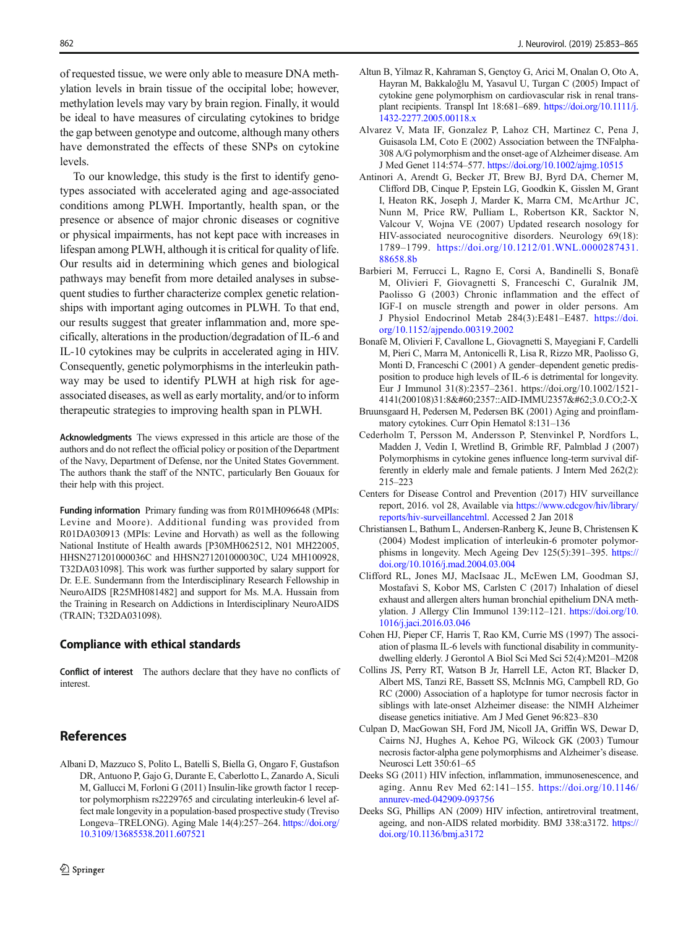<span id="page-9-0"></span>of requested tissue, we were only able to measure DNA methylation levels in brain tissue of the occipital lobe; however, methylation levels may vary by brain region. Finally, it would be ideal to have measures of circulating cytokines to bridge the gap between genotype and outcome, although many others have demonstrated the effects of these SNPs on cytokine levels.

To our knowledge, this study is the first to identify genotypes associated with accelerated aging and age-associated conditions among PLWH. Importantly, health span, or the presence or absence of major chronic diseases or cognitive or physical impairments, has not kept pace with increases in lifespan among PLWH, although it is critical for quality of life. Our results aid in determining which genes and biological pathways may benefit from more detailed analyses in subsequent studies to further characterize complex genetic relationships with important aging outcomes in PLWH. To that end, our results suggest that greater inflammation and, more specifically, alterations in the production/degradation of IL-6 and IL-10 cytokines may be culprits in accelerated aging in HIV. Consequently, genetic polymorphisms in the interleukin pathway may be used to identify PLWH at high risk for ageassociated diseases, as well as early mortality, and/or to inform therapeutic strategies to improving health span in PLWH.

Acknowledgments The views expressed in this article are those of the authors and do not reflect the official policy or position of the Department of the Navy, Department of Defense, nor the United States Government. The authors thank the staff of the NNTC, particularly Ben Gouaux for their help with this project.

Funding information Primary funding was from R01MH096648 (MPIs: Levine and Moore). Additional funding was provided from R01DA030913 (MPIs: Levine and Horvath) as well as the following National Institute of Health awards [P30MH062512, N01 MH22005, HHSN271201000036C and HHSN271201000030C, U24 MH100928, T32DA031098]. This work was further supported by salary support for Dr. E.E. Sundermann from the Interdisciplinary Research Fellowship in NeuroAIDS [R25MH081482] and support for Ms. M.A. Hussain from the Training in Research on Addictions in Interdisciplinary NeuroAIDS (TRAIN; T32DA031098).

#### Compliance with ethical standards

Conflict of interest The authors declare that they have no conflicts of interest.

## References

Albani D, Mazzuco S, Polito L, Batelli S, Biella G, Ongaro F, Gustafson DR, Antuono P, Gajo G, Durante E, Caberlotto L, Zanardo A, Siculi M, Gallucci M, Forloni G (2011) Insulin-like growth factor 1 receptor polymorphism rs2229765 and circulating interleukin-6 level affect male longevity in a population-based prospective study (Treviso Longeva–TRELONG). Aging Male 14(4):257–264. [https://doi.org/](https://doi.org/10.3109/13685538.2011.607521) [10.3109/13685538.2011.607521](https://doi.org/10.3109/13685538.2011.607521)

- Altun B, Yilmaz R, Kahraman S, Gençtoy G, Arici M, Onalan O, Oto A, Hayran M, Bakkaloğlu M, Yasavul U, Turgan C (2005) Impact of cytokine gene polymorphism on cardiovascular risk in renal transplant recipients. Transpl Int 18:681–689. [https://doi.org/10.1111/j.](https://doi.org/10.1111/j.1432-2277.2005.00118.x) [1432-2277.2005.00118.x](https://doi.org/10.1111/j.1432-2277.2005.00118.x)
- Alvarez V, Mata IF, Gonzalez P, Lahoz CH, Martinez C, Pena J, Guisasola LM, Coto E (2002) Association between the TNFalpha-308 A/G polymorphism and the onset-age of Alzheimer disease. Am J Med Genet 114:574–577. <https://doi.org/10.1002/ajmg.10515>
- Antinori A, Arendt G, Becker JT, Brew BJ, Byrd DA, Cherner M, Clifford DB, Cinque P, Epstein LG, Goodkin K, Gisslen M, Grant I, Heaton RK, Joseph J, Marder K, Marra CM, McArthur JC, Nunn M, Price RW, Pulliam L, Robertson KR, Sacktor N, Valcour V, Wojna VE (2007) Updated research nosology for HIV-associated neurocognitive disorders. Neurology 69(18): 1789–1799. [https://doi.org/10.1212/01.WNL.0000287431.](https://doi.org/10.1212/01.WNL.0000287431.88658.8b) [88658.8b](https://doi.org/10.1212/01.WNL.0000287431.88658.8b)
- Barbieri M, Ferrucci L, Ragno E, Corsi A, Bandinelli S, Bonafè M, Olivieri F, Giovagnetti S, Franceschi C, Guralnik JM, Paolisso G (2003) Chronic inflammation and the effect of IGF-I on muscle strength and power in older persons. Am J Physiol Endocrinol Metab 284(3):E481–E487. [https://doi.](https://doi.org/10.1152/ajpendo.00319.2002) [org/10.1152/ajpendo.00319.2002](https://doi.org/10.1152/ajpendo.00319.2002)
- Bonafè M, Olivieri F, Cavallone L, Giovagnetti S, Mayegiani F, Cardelli M, Pieri C, Marra M, Antonicelli R, Lisa R, Rizzo MR, Paolisso G, Monti D, Franceschi C (2001) A gender–dependent genetic predisposition to produce high levels of IL-6 is detrimental for longevity. Eur J Immunol 31(8):2357–2361. https://doi.org/10.1002/1521- 4141(200108)31:8<2357::AID-IMMU2357>3.0.CO;2-X
- Bruunsgaard H, Pedersen M, Pedersen BK (2001) Aging and proinflammatory cytokines. Curr Opin Hematol 8:131–136
- Cederholm T, Persson M, Andersson P, Stenvinkel P, Nordfors L, Madden J, Vedin I, Wretlind B, Grimble RF, Palmblad J (2007) Polymorphisms in cytokine genes influence long-term survival differently in elderly male and female patients. J Intern Med 262(2): 215–223
- Centers for Disease Control and Prevention (2017) HIV surveillance report, 2016. vol 28, Available via [https://www.cdcgov/hiv/library/](https://www.cdcgov/hiv/library/reports/hiv-surveillancehtml) [reports/hiv-surveillancehtml](https://www.cdcgov/hiv/library/reports/hiv-surveillancehtml). Accessed 2 Jan 2018
- Christiansen L, Bathum L, Andersen-Ranberg K, Jeune B, Christensen K (2004) Modest implication of interleukin-6 promoter polymorphisms in longevity. Mech Ageing Dev 125(5):391–395. [https://](https://doi.org/10.1016/j.mad.2004.03.004) [doi.org/10.1016/j.mad.2004.03.004](https://doi.org/10.1016/j.mad.2004.03.004)
- Clifford RL, Jones MJ, MacIsaac JL, McEwen LM, Goodman SJ, Mostafavi S, Kobor MS, Carlsten C (2017) Inhalation of diesel exhaust and allergen alters human bronchial epithelium DNA methylation. J Allergy Clin Immunol 139:112–121. [https://doi.org/10.](https://doi.org/10.1016/j.jaci.2016.03.046) [1016/j.jaci.2016.03.046](https://doi.org/10.1016/j.jaci.2016.03.046)
- Cohen HJ, Pieper CF, Harris T, Rao KM, Currie MS (1997) The association of plasma IL-6 levels with functional disability in communitydwelling elderly. J Gerontol A Biol Sci Med Sci 52(4):M201–M208
- Collins JS, Perry RT, Watson B Jr, Harrell LE, Acton RT, Blacker D, Albert MS, Tanzi RE, Bassett SS, McInnis MG, Campbell RD, Go RC (2000) Association of a haplotype for tumor necrosis factor in siblings with late-onset Alzheimer disease: the NIMH Alzheimer disease genetics initiative. Am J Med Genet 96:823–830
- Culpan D, MacGowan SH, Ford JM, Nicoll JA, Griffin WS, Dewar D, Cairns NJ, Hughes A, Kehoe PG, Wilcock GK (2003) Tumour necrosis factor-alpha gene polymorphisms and Alzheimer's disease. Neurosci Lett 350:61–65
- Deeks SG (2011) HIV infection, inflammation, immunosenescence, and aging. Annu Rev Med 62:141–155. [https://doi.org/10.1146/](https://doi.org/10.1146/annurev-med-042909-093756) [annurev-med-042909-093756](https://doi.org/10.1146/annurev-med-042909-093756)
- Deeks SG, Phillips AN (2009) HIV infection, antiretroviral treatment, ageing, and non-AIDS related morbidity. BMJ 338:a3172. [https://](https://doi.org/10.1136/bmj.a3172) [doi.org/10.1136/bmj.a3172](https://doi.org/10.1136/bmj.a3172)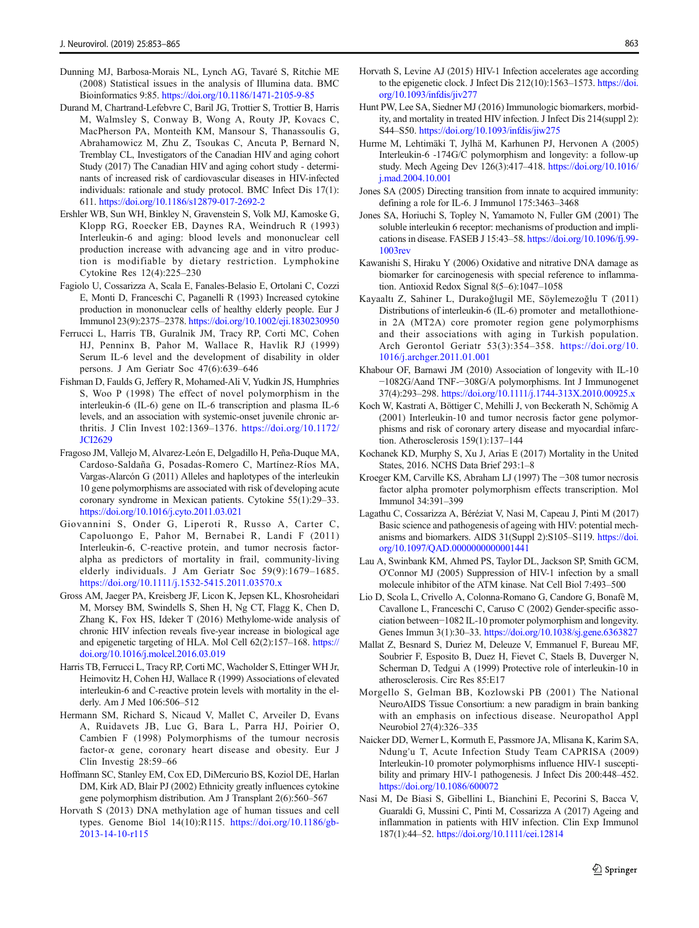- <span id="page-10-0"></span>Dunning MJ, Barbosa-Morais NL, Lynch AG, Tavaré S, Ritchie ME (2008) Statistical issues in the analysis of Illumina data. BMC Bioinformatics 9:85. <https://doi.org/10.1186/1471-2105-9-85>
- Durand M, Chartrand-Lefebvre C, Baril JG, Trottier S, Trottier B, Harris M, Walmsley S, Conway B, Wong A, Routy JP, Kovacs C, MacPherson PA, Monteith KM, Mansour S, Thanassoulis G, Abrahamowicz M, Zhu Z, Tsoukas C, Ancuta P, Bernard N, Tremblay CL, Investigators of the Canadian HIV and aging cohort Study (2017) The Canadian HIV and aging cohort study - determinants of increased risk of cardiovascular diseases in HIV-infected individuals: rationale and study protocol. BMC Infect Dis 17(1): 611. <https://doi.org/10.1186/s12879-017-2692-2>
- Ershler WB, Sun WH, Binkley N, Gravenstein S, Volk MJ, Kamoske G, Klopp RG, Roecker EB, Daynes RA, Weindruch R (1993) Interleukin-6 and aging: blood levels and mononuclear cell production increase with advancing age and in vitro production is modifiable by dietary restriction. Lymphokine Cytokine Res 12(4):225–230
- Fagiolo U, Cossarizza A, Scala E, Fanales-Belasio E, Ortolani C, Cozzi E, Monti D, Franceschi C, Paganelli R (1993) Increased cytokine production in mononuclear cells of healthy elderly people. Eur J Immunol 23(9):2375–2378. <https://doi.org/10.1002/eji.1830230950>
- Ferrucci L, Harris TB, Guralnik JM, Tracy RP, Corti MC, Cohen HJ, Penninx B, Pahor M, Wallace R, Havlik RJ (1999) Serum IL-6 level and the development of disability in older persons. J Am Geriatr Soc 47(6):639–646
- Fishman D, Faulds G, Jeffery R, Mohamed-Ali V, Yudkin JS, Humphries S, Woo P (1998) The effect of novel polymorphism in the interleukin-6 (IL-6) gene on IL-6 transcription and plasma IL-6 levels, and an association with systemic-onset juvenile chronic arthritis. J Clin Invest 102:1369–1376. [https://doi.org/10.1172/](https://doi.org/10.1172/JCI2629) [JCI2629](https://doi.org/10.1172/JCI2629)
- Fragoso JM, Vallejo M, Alvarez-León E, Delgadillo H, Peña-Duque MA, Cardoso-Saldaña G, Posadas-Romero C, Martínez-Ríos MA, Vargas-Alarcón G (2011) Alleles and haplotypes of the interleukin 10 gene polymorphisms are associated with risk of developing acute coronary syndrome in Mexican patients. Cytokine 55(1):29–33. <https://doi.org/10.1016/j.cyto.2011.03.021>
- Giovannini S, Onder G, Liperoti R, Russo A, Carter C, Capoluongo E, Pahor M, Bernabei R, Landi F (2011) Interleukin-6, C-reactive protein, and tumor necrosis factoralpha as predictors of mortality in frail, community-living elderly individuals. J Am Geriatr Soc 59(9):1679–1685. <https://doi.org/10.1111/j.1532-5415.2011.03570.x>
- Gross AM, Jaeger PA, Kreisberg JF, Licon K, Jepsen KL, Khosroheidari M, Morsey BM, Swindells S, Shen H, Ng CT, Flagg K, Chen D, Zhang K, Fox HS, Ideker T (2016) Methylome-wide analysis of chronic HIV infection reveals five-year increase in biological age and epigenetic targeting of HLA. Mol Cell 62(2):157–168. [https://](https://doi.org/10.1016/j.molcel.2016.03.019) [doi.org/10.1016/j.molcel.2016.03.019](https://doi.org/10.1016/j.molcel.2016.03.019)
- Harris TB, Ferrucci L, Tracy RP, Corti MC, Wacholder S, Ettinger WH Jr, Heimovitz H, Cohen HJ, Wallace R (1999) Associations of elevated interleukin-6 and C-reactive protein levels with mortality in the elderly. Am J Med 106:506–512
- Hermann SM, Richard S, Nicaud V, Mallet C, Arveiler D, Evans A, Ruidavets JB, Luc G, Bara L, Parra HJ, Poirier O, Cambien F (1998) Polymorphisms of the tumour necrosis factor- $\alpha$  gene, coronary heart disease and obesity. Eur J Clin Investig 28:59–66
- Hoffmann SC, Stanley EM, Cox ED, DiMercurio BS, Koziol DE, Harlan DM, Kirk AD, Blair PJ (2002) Ethnicity greatly influences cytokine gene polymorphism distribution. Am J Transplant 2(6):560–567
- Horvath S (2013) DNA methylation age of human tissues and cell types. Genome Biol 14(10):R115. [https://doi.org/10.1186/gb-](https://doi.org/10.1186/gb-2013-14-10-r115)[2013-14-10-r115](https://doi.org/10.1186/gb-2013-14-10-r115)
- Horvath S, Levine AJ (2015) HIV-1 Infection accelerates age according to the epigenetic clock. J Infect Dis 212(10):1563–1573. [https://doi.](https://doi.org/10.1093/infdis/jiv277) [org/10.1093/infdis/jiv277](https://doi.org/10.1093/infdis/jiv277)
- Hunt PW, Lee SA, Siedner MJ (2016) Immunologic biomarkers, morbidity, and mortality in treated HIV infection. J Infect Dis 214(suppl 2): S44–S50. <https://doi.org/10.1093/infdis/jiw275>
- Hurme M, Lehtimäki T, Jylhä M, Karhunen PJ, Hervonen A (2005) Interleukin-6 -174G/C polymorphism and longevity: a follow-up study. Mech Ageing Dev 126(3):417–418. [https://doi.org/10.1016/](https://doi.org/10.1016/j.mad.2004.10.001) [j.mad.2004.10.001](https://doi.org/10.1016/j.mad.2004.10.001)
- Jones SA (2005) Directing transition from innate to acquired immunity: defining a role for IL-6. J Immunol 175:3463–3468
- Jones SA, Horiuchi S, Topley N, Yamamoto N, Fuller GM (2001) The soluble interleukin 6 receptor: mechanisms of production and implications in disease. FASEB J 15:43–58. [https://doi.org/10.1096/fj.99-](https://doi.org/10.1096/fj.99-1003rev) [1003rev](https://doi.org/10.1096/fj.99-1003rev)
- Kawanishi S, Hiraku Y (2006) Oxidative and nitrative DNA damage as biomarker for carcinogenesis with special reference to inflammation. Antioxid Redox Signal 8(5–6):1047–1058
- Kayaaltı Z, Sahiner L, Durakoğlugil ME, Söylemezoğlu T (2011) Distributions of interleukin-6 (IL-6) promoter and metallothionein 2A (MT2A) core promoter region gene polymorphisms and their associations with aging in Turkish population. Arch Gerontol Geriatr 53(3):354–358. [https://doi.org/10.](https://doi.org/10.1016/j.archger.2011.01.001) [1016/j.archger.2011.01.001](https://doi.org/10.1016/j.archger.2011.01.001)
- Khabour OF, Barnawi JM (2010) Association of longevity with IL-10 −1082G/Aand TNF-−308G/A polymorphisms. Int J Immunogenet 37(4):293–298. <https://doi.org/10.1111/j.1744-313X.2010.00925.x>
- Koch W, Kastrati A, Böttiger C, Mehilli J, von Beckerath N, Schömig A (2001) Interleukin-10 and tumor necrosis factor gene polymorphisms and risk of coronary artery disease and myocardial infarction. Atherosclerosis 159(1):137–144
- Kochanek KD, Murphy S, Xu J, Arias E (2017) Mortality in the United States, 2016. NCHS Data Brief 293:1–8
- Kroeger KM, Carville KS, Abraham LJ (1997) The −308 tumor necrosis factor alpha promoter polymorphism effects transcription. Mol Immunol 34:391–399
- Lagathu C, Cossarizza A, Béréziat V, Nasi M, Capeau J, Pinti M (2017) Basic science and pathogenesis of ageing with HIV: potential mechanisms and biomarkers. AIDS 31(Suppl 2):S105–S119. [https://doi.](https://doi.org/10.1097/QAD.0000000000001441) [org/10.1097/QAD.0000000000001441](https://doi.org/10.1097/QAD.0000000000001441)
- Lau A, Swinbank KM, Ahmed PS, Taylor DL, Jackson SP, Smith GCM, O'Connor MJ (2005) Suppression of HIV-1 infection by a small molecule inhibitor of the ATM kinase. Nat Cell Biol 7:493–500
- Lio D, Scola L, Crivello A, Colonna-Romano G, Candore G, Bonafè M, Cavallone L, Franceschi C, Caruso C (2002) Gender-specific association between−1082 IL-10 promoter polymorphism and longevity. Genes Immun 3(1):30–33. <https://doi.org/10.1038/sj.gene.6363827>
- Mallat Z, Besnard S, Duriez M, Deleuze V, Emmanuel F, Bureau MF, Soubrier F, Esposito B, Duez H, Fievet C, Staels B, Duverger N, Scherman D, Tedgui A (1999) Protective role of interleukin-10 in atherosclerosis. Circ Res 85:E17
- Morgello S, Gelman BB, Kozlowski PB (2001) The National NeuroAIDS Tissue Consortium: a new paradigm in brain banking with an emphasis on infectious disease. Neuropathol Appl Neurobiol 27(4):326–335
- Naicker DD, Werner L, Kormuth E, Passmore JA, Mlisana K, Karim SA, Ndung'u T, Acute Infection Study Team CAPRISA (2009) Interleukin-10 promoter polymorphisms influence HIV-1 susceptibility and primary HIV-1 pathogenesis. J Infect Dis 200:448–452. <https://doi.org/10.1086/600072>
- Nasi M, De Biasi S, Gibellini L, Bianchini E, Pecorini S, Bacca V, Guaraldi G, Mussini C, Pinti M, Cossarizza A (2017) Ageing and inflammation in patients with HIV infection. Clin Exp Immunol 187(1):44–52. <https://doi.org/10.1111/cei.12814>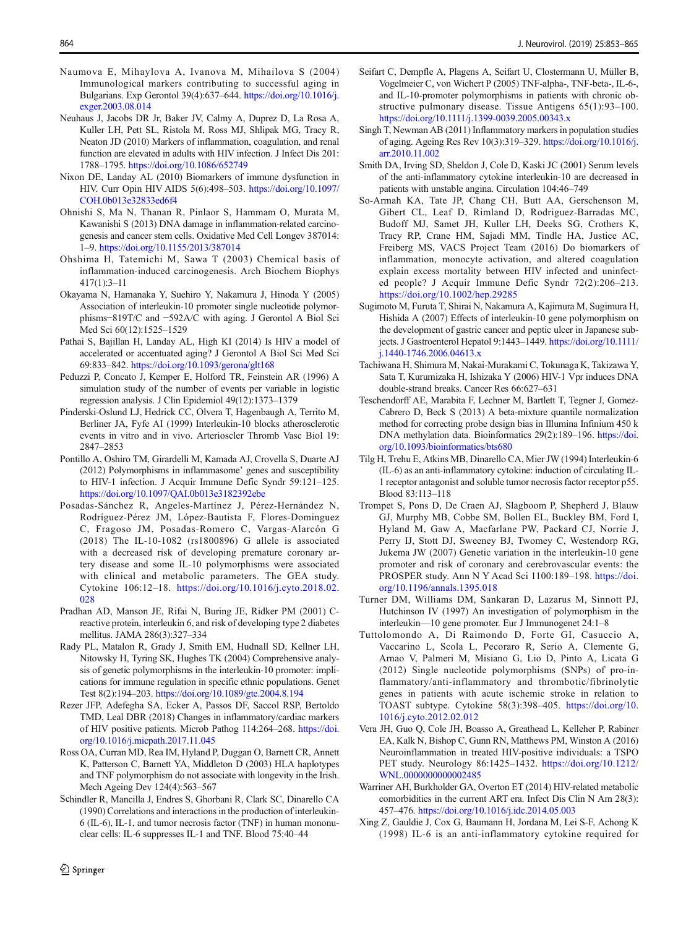- <span id="page-11-0"></span>Naumova E, Mihaylova A, Ivanova M, Mihailova S (2004) Immunological markers contributing to successful aging in Bulgarians. Exp Gerontol 39(4):637–644. [https://doi.org/10.1016/j.](https://doi.org/10.1016/j.exger.2003.08.014) [exger.2003.08.014](https://doi.org/10.1016/j.exger.2003.08.014)
- Neuhaus J, Jacobs DR Jr, Baker JV, Calmy A, Duprez D, La Rosa A, Kuller LH, Pett SL, Ristola M, Ross MJ, Shlipak MG, Tracy R, Neaton JD (2010) Markers of inflammation, coagulation, and renal function are elevated in adults with HIV infection. J Infect Dis 201: 1788–1795. <https://doi.org/10.1086/652749>
- Nixon DE, Landay AL (2010) Biomarkers of immune dysfunction in HIV. Curr Opin HIV AIDS 5(6):498–503. [https://doi.org/10.1097/](https://doi.org/10.1097/COH.0b013e32833ed6f4) [COH.0b013e32833ed6f4](https://doi.org/10.1097/COH.0b013e32833ed6f4)
- Ohnishi S, Ma N, Thanan R, Pinlaor S, Hammam O, Murata M, Kawanishi S (2013) DNA damage in inflammation-related carcinogenesis and cancer stem cells. Oxidative Med Cell Longev 387014: 1–9. <https://doi.org/10.1155/2013/387014>
- Ohshima H, Tatemichi M, Sawa T (2003) Chemical basis of inflammation-induced carcinogenesis. Arch Biochem Biophys 417(1):3–11
- Okayama N, Hamanaka Y, Suehiro Y, Nakamura J, Hinoda Y (2005) Association of interleukin-10 promoter single nucleotide polymorphisms−819T/C and −592A/C with aging. J Gerontol A Biol Sci Med Sci 60(12):1525–1529
- Pathai S, Bajillan H, Landay AL, High KI (2014) Is HIV a model of accelerated or accentuated aging? J Gerontol A Biol Sci Med Sci 69:833–842. <https://doi.org/10.1093/gerona/glt168>
- Peduzzi P, Concato J, Kemper E, Holford TR, Feinstein AR (1996) A simulation study of the number of events per variable in logistic regression analysis. J Clin Epidemiol 49(12):1373–1379
- Pinderski-Oslund LJ, Hedrick CC, Olvera T, Hagenbaugh A, Territo M, Berliner JA, Fyfe AI (1999) Interleukin-10 blocks atherosclerotic events in vitro and in vivo. Arterioscler Thromb Vasc Biol 19: 2847–2853
- Pontillo A, Oshiro TM, Girardelli M, Kamada AJ, Crovella S, Duarte AJ (2012) Polymorphisms in inflammasome' genes and susceptibility to HIV-1 infection. J Acquir Immune Defic Syndr 59:121–125. <https://doi.org/10.1097/QAI.0b013e3182392ebe>
- Posadas-Sánchez R, Angeles-Martínez J, Pérez-Hernández N, Rodríguez-Pérez JM, López-Bautista F, Flores-Dominguez C, Fragoso JM, Posadas-Romero C, Vargas-Alarcón G (2018) The IL-10-1082 (rs1800896) G allele is associated with a decreased risk of developing premature coronary artery disease and some IL-10 polymorphisms were associated with clinical and metabolic parameters. The GEA study. Cytokine 106:12–18. [https://doi.org/10.1016/j.cyto.2018.02.](https://doi.org/10.1016/j.cyto.2018.02.028) [028](https://doi.org/10.1016/j.cyto.2018.02.028)
- Pradhan AD, Manson JE, Rifai N, Buring JE, Ridker PM (2001) Creactive protein, interleukin 6, and risk of developing type 2 diabetes mellitus. JAMA 286(3):327–334
- Rady PL, Matalon R, Grady J, Smith EM, Hudnall SD, Kellner LH, Nitowsky H, Tyring SK, Hughes TK (2004) Comprehensive analysis of genetic polymorphisms in the interleukin-10 promoter: implications for immune regulation in specific ethnic populations. Genet Test 8(2):194–203. <https://doi.org/10.1089/gte.2004.8.194>
- Rezer JFP, Adefegha SA, Ecker A, Passos DF, Saccol RSP, Bertoldo TMD, Leal DBR (2018) Changes in inflammatory/cardiac markers of HIV positive patients. Microb Pathog 114:264–268. [https://doi.](https://doi.org/10.1016/j.micpath.2017.11.045) [org/10.1016/j.micpath.2017.11.045](https://doi.org/10.1016/j.micpath.2017.11.045)
- Ross OA, Curran MD, Rea IM, Hyland P, Duggan O, Barnett CR, Annett K, Patterson C, Barnett YA, Middleton D (2003) HLA haplotypes and TNF polymorphism do not associate with longevity in the Irish. Mech Ageing Dev 124(4):563–567
- Schindler R, Mancilla J, Endres S, Ghorbani R, Clark SC, Dinarello CA (1990) Correlations and interactions in the production of interleukin-6 (IL-6), IL-1, and tumor necrosis factor (TNF) in human mononuclear cells: IL-6 suppresses IL-1 and TNF. Blood 75:40–44
- Seifart C, Dempfle A, Plagens A, Seifart U, Clostermann U, Müller B, Vogelmeier C, von Wichert P (2005) TNF-alpha-, TNF-beta-, IL-6-, and IL-10-promoter polymorphisms in patients with chronic obstructive pulmonary disease. Tissue Antigens 65(1):93–100. <https://doi.org/10.1111/j.1399-0039.2005.00343.x>
- Singh T, Newman AB (2011) Inflammatory markers in population studies of aging. Ageing Res Rev 10(3):319–329. [https://doi.org/10.1016/j.](https://doi.org/10.1016/j.arr.2010.11.002) [arr.2010.11.002](https://doi.org/10.1016/j.arr.2010.11.002)
- Smith DA, Irving SD, Sheldon J, Cole D, Kaski JC (2001) Serum levels of the anti-inflammatory cytokine interleukin-10 are decreased in patients with unstable angina. Circulation 104:46–749
- So-Armah KA, Tate JP, Chang CH, Butt AA, Gerschenson M, Gibert CL, Leaf D, Rimland D, Rodriguez-Barradas MC, Budoff MJ, Samet JH, Kuller LH, Deeks SG, Crothers K, Tracy RP, Crane HM, Sajadi MM, Tindle HA, Justice AC, Freiberg MS, VACS Project Team (2016) Do biomarkers of inflammation, monocyte activation, and altered coagulation explain excess mortality between HIV infected and uninfected people? J Acquir Immune Defic Syndr 72(2):206–213. <https://doi.org/10.1002/hep.29285>
- Sugimoto M, Furuta T, Shirai N, Nakamura A, Kajimura M, Sugimura H, Hishida A (2007) Effects of interleukin-10 gene polymorphism on the development of gastric cancer and peptic ulcer in Japanese subjects. J Gastroenterol Hepatol 9:1443–1449. [https://doi.org/10.1111/](https://doi.org/10.1111/j.1440-1746.2006.04613.x) [j.1440-1746.2006.04613.x](https://doi.org/10.1111/j.1440-1746.2006.04613.x)
- Tachiwana H, Shimura M, Nakai-Murakami C, Tokunaga K, Takizawa Y, Sata T, Kurumizaka H, Ishizaka Y (2006) HIV-1 Vpr induces DNA double-strand breaks. Cancer Res 66:627–631
- Teschendorff AE, Marabita F, Lechner M, Bartlett T, Tegner J, Gomez-Cabrero D, Beck S (2013) A beta-mixture quantile normalization method for correcting probe design bias in Illumina Infinium 450 k DNA methylation data. Bioinformatics 29(2):189–196. [https://doi.](https://doi.org/10.1093/bioinformatics/bts680) [org/10.1093/bioinformatics/bts680](https://doi.org/10.1093/bioinformatics/bts680)
- Tilg H, Trehu E, Atkins MB, Dinarello CA, Mier JW (1994) Interleukin-6 (IL-6) as an anti-inflammatory cytokine: induction of circulating IL-1 receptor antagonist and soluble tumor necrosis factor receptor p55. Blood 83:113–118
- Trompet S, Pons D, De Craen AJ, Slagboom P, Shepherd J, Blauw GJ, Murphy MB, Cobbe SM, Bollen EL, Buckley BM, Ford I, Hyland M, Gaw A, Macfarlane PW, Packard CJ, Norrie J, Perry IJ, Stott DJ, Sweeney BJ, Twomey C, Westendorp RG, Jukema JW (2007) Genetic variation in the interleukin-10 gene promoter and risk of coronary and cerebrovascular events: the PROSPER study. Ann N Y Acad Sci 1100:189–198. [https://doi.](https://doi.org/10.1196/annals.1395.018) [org/10.1196/annals.1395.018](https://doi.org/10.1196/annals.1395.018)
- Turner DM, Williams DM, Sankaran D, Lazarus M, Sinnott PJ, Hutchinson IV (1997) An investigation of polymorphism in the interleukin—10 gene promoter. Eur J Immunogenet 24:1–8
- Tuttolomondo A, Di Raimondo D, Forte GI, Casuccio A, Vaccarino L, Scola L, Pecoraro R, Serio A, Clemente G, Arnao V, Palmeri M, Misiano G, Lio D, Pinto A, Licata G (2012) Single nucleotide polymorphisms (SNPs) of pro-inflammatory/anti-inflammatory and thrombotic/fibrinolytic genes in patients with acute ischemic stroke in relation to TOAST subtype. Cytokine 58(3):398–405. [https://doi.org/10.](https://doi.org/10.1016/j.cyto.2012.02.012) [1016/j.cyto.2012.02.012](https://doi.org/10.1016/j.cyto.2012.02.012)
- Vera JH, Guo Q, Cole JH, Boasso A, Greathead L, Kelleher P, Rabiner EA, Kalk N, Bishop C, Gunn RN, Matthews PM, Winston A (2016) Neuroinflammation in treated HIV-positive individuals: a TSPO PET study. Neurology 86:1425–1432. [https://doi.org/10.1212/](https://doi.org/10.1212/WNL.0000000000002485) [WNL.0000000000002485](https://doi.org/10.1212/WNL.0000000000002485)
- Warriner AH, Burkholder GA, Overton ET (2014) HIV-related metabolic comorbidities in the current ART era. Infect Dis Clin N Am 28(3): 457–476. <https://doi.org/10.1016/j.idc.2014.05.003>
- Xing Z, Gauldie J, Cox G, Baumann H, Jordana M, Lei S-F, Achong K (1998) IL-6 is an anti-inflammatory cytokine required for